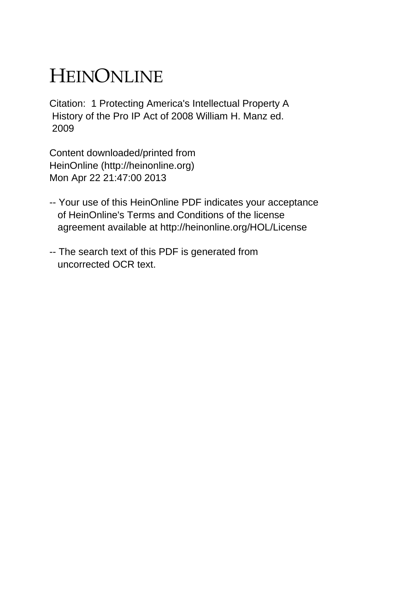## HEINONLINE

Citation: 1 Protecting America's Intellectual Property A History of the Pro IP Act of 2008 William H. Manz ed. 2009

Content downloaded/printed from HeinOnline (http://heinonline.org) Mon Apr 22 21:47:00 2013

- -- Your use of this HeinOnline PDF indicates your acceptance of HeinOnline's Terms and Conditions of the license agreement available at http://heinonline.org/HOL/License
- -- The search text of this PDF is generated from uncorrected OCR text.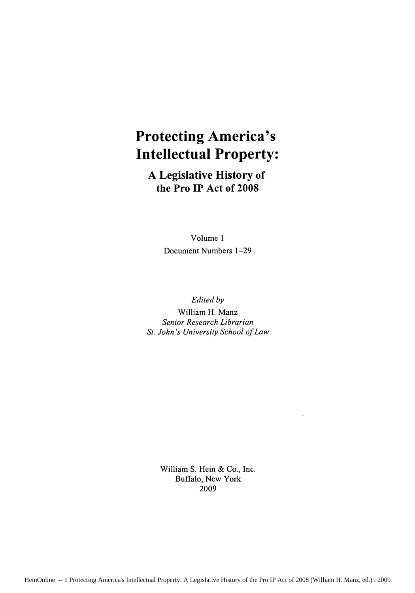## **Protecting America's Intellectual Property:**

**A Legislative History of the Pro IP Act of 2008**

> Volume **1** Document Numbers **1-29**

> > *Edited by*

William H. Manz *Senior Research Librarian St. John's University School of Law*

> William **S. Hein &** Co., Inc. Buffalo, New York 2009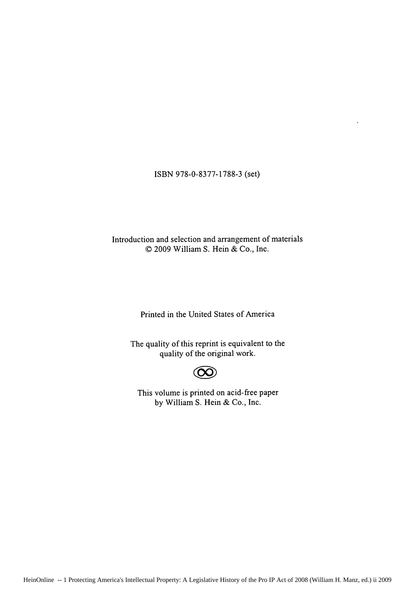ISBN 978-0-8377-1788-3 (set)

Introduction and selection and arrangement of materials © 2009 William S. Hein & Co., Inc.

Printed in the United States of America

The quality of this reprint is equivalent to the quality of the original work.



This volume is printed on acid-free paper by William S. Hein & Co., Inc.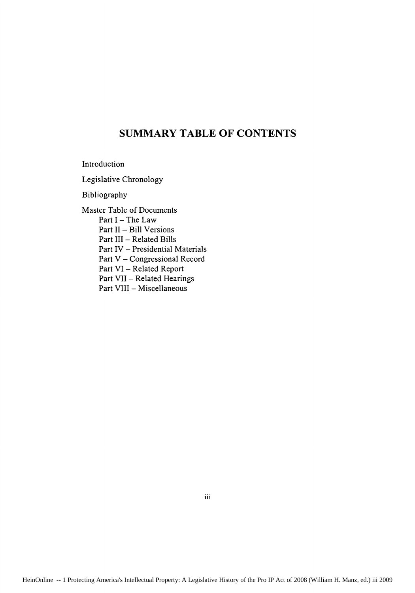## **SUMMARY TABLE OF CONTENTS**

Introduction

Legislative Chronology

Bibliography

Master Table of Documents Part I – The Law Part **IL-** Bill Versions Part III - Related Bills Part IV - Presidential Materials Part V - Congressional Record Part VI - Related Report Part VII - Related Hearings Part VIII - Miscellaneous